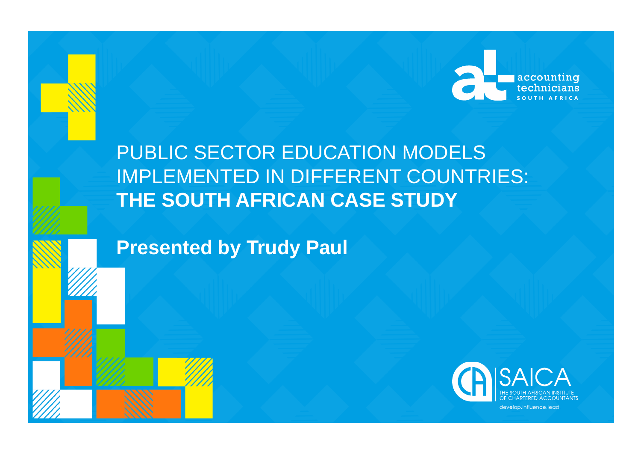

# PUBLIC SECTOR EDUCATION MODELS IMPLEMENTED IN DIFFERENT COUNTRIES: **THE SOUTH AFRICAN CASE STUDY**

**Presented by Trudy Paul**



develop.influence.lead.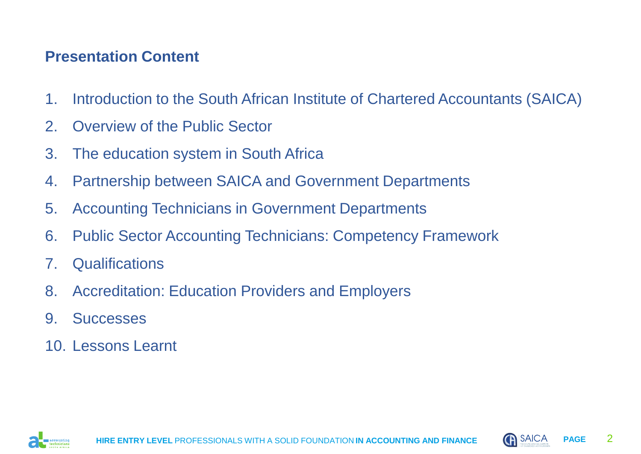## **Presentation Content**

- 1. Introduction to the South African Institute of Chartered Accountants (SAICA)
- 2. Overview of the Public Sector
- 3. The education system in South Africa
- 4. Partnership between SAICA and Government Departments
- 5. Accounting Technicians in Government Departments
- 6. Public Sector Accounting Technicians: Competency Framework
- 7. Qualifications
- 8. Accreditation: Education Providers and Employers
- 9. Successes
- 10. Lessons Learnt



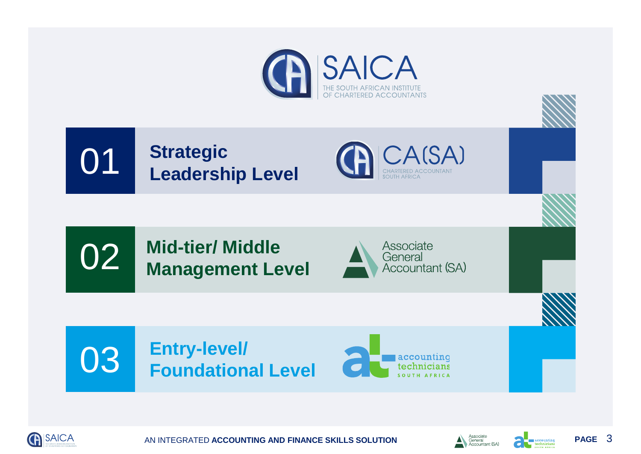





**Mid-tier/ Middle Management Level** 02









AN INTEGRATED ACCOUNTING AND FINANCE SKILLS SOLUTION **PAGE** Associate and  $\sum_{\text{General}(\text{SAN})\atop \text{Accountant}(\text{SAN})}$ 

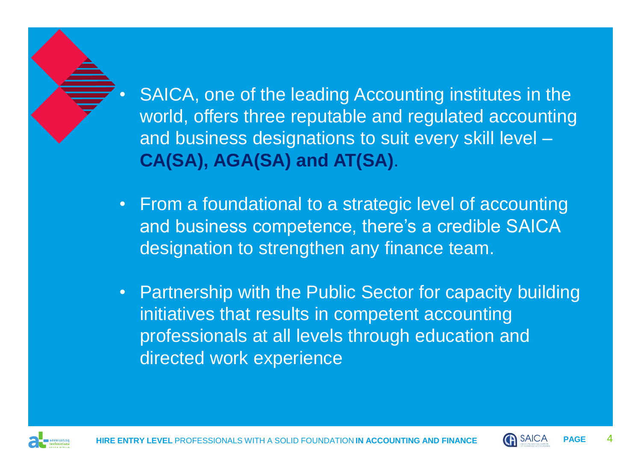

- From a foundational to a strategic level of accounting and business competence, there's a credible SAICA designation to strengthen any finance team.
- Partnership with the Public Sector for capacity building initiatives that results in competent accounting professionals at all levels through education and directed work experience



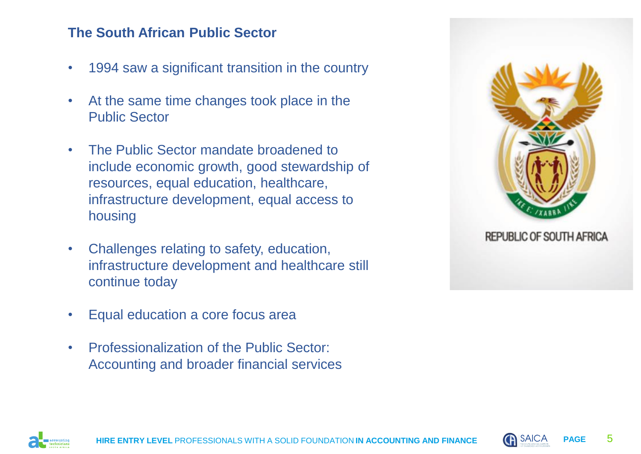### **The South African Public Sector**

- 1994 saw a significant transition in the country
- At the same time changes took place in the Public Sector
- The Public Sector mandate broadened to include economic growth, good stewardship of resources, equal education, healthcare, infrastructure development, equal access to housing
- Challenges relating to safety, education, infrastructure development and healthcare still continue today
- Equal education a core focus area
- Professionalization of the Public Sector: Accounting and broader financial services



**REPUBLIC OF SOUTH AFRICA** 



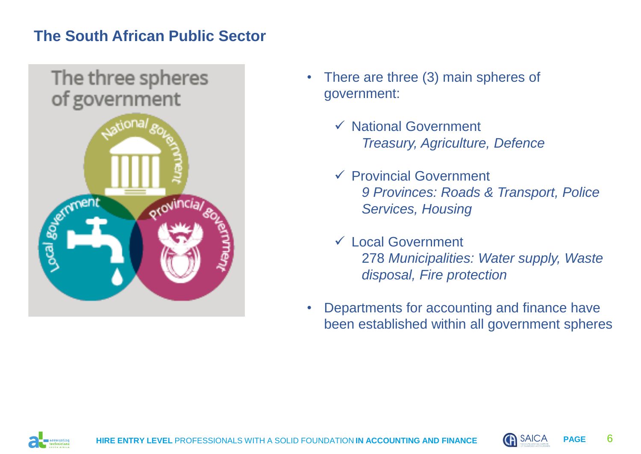# **The South African Public Sector**



- There are three (3) main spheres of government:
	- ✓ National Government *Treasury, Agriculture, Defence*
	- ✓ Provincial Government *9 Provinces: Roads & Transport, Police Services, Housing*
	- ✓ Local Government 278 *Municipalities: Water supply, Waste disposal, Fire protection*
- Departments for accounting and finance have been established within all government spheres



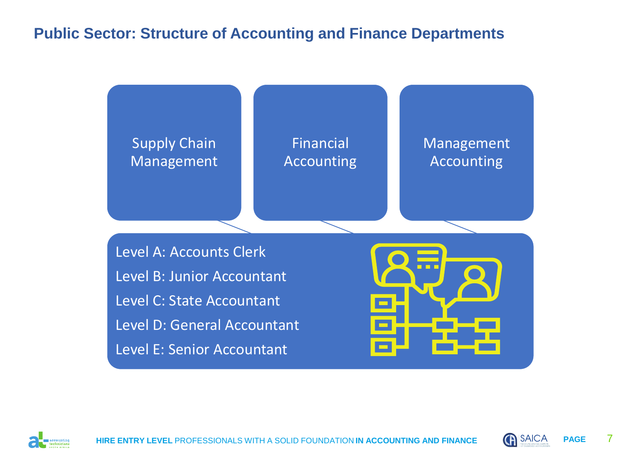# **Public Sector: Structure of Accounting and Finance Departments**





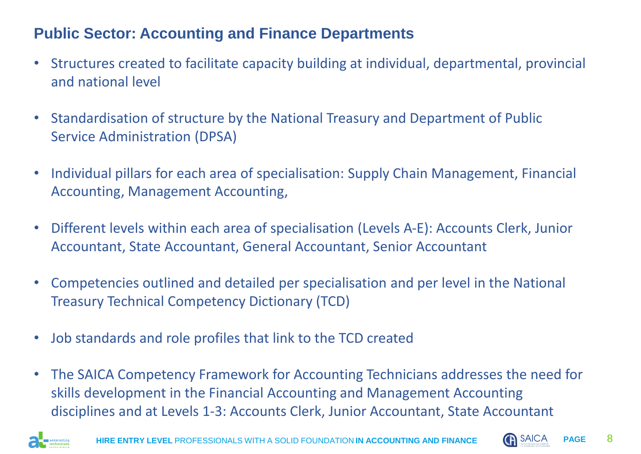# **Public Sector: Accounting and Finance Departments**

- Structures created to facilitate capacity building at individual, departmental, provincial and national level
- Standardisation of structure by the National Treasury and Department of Public Service Administration (DPSA)
- Individual pillars for each area of specialisation: Supply Chain Management, Financial Accounting, Management Accounting,
- Different levels within each area of specialisation (Levels A-E): Accounts Clerk, Junior Accountant, State Accountant, General Accountant, Senior Accountant
- Competencies outlined and detailed per specialisation and per level in the National Treasury Technical Competency Dictionary (TCD)
- Job standards and role profiles that link to the TCD created
- The SAICA Competency Framework for Accounting Technicians addresses the need for skills development in the Financial Accounting and Management Accounting disciplines and at Levels 1-3: Accounts Clerk, Junior Accountant, State Accountant



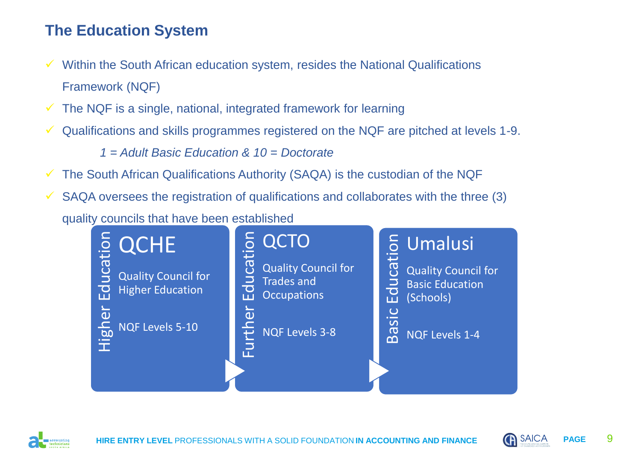# **The Education System**

- Within the South African education system, resides the National Qualifications Framework (NQF)
- The NQF is a single, national, integrated framework for learning
- Qualifications and skills programmes registered on the NQF are pitched at levels 1-9.

*1 = Adult Basic Education & 10 = Doctorate*

- $\checkmark$  The South African Qualifications Authority (SAQA) is the custodian of the NQF
- $\checkmark$  SAQA oversees the registration of qualifications and collaborates with the three (3)

quality councils that have been established





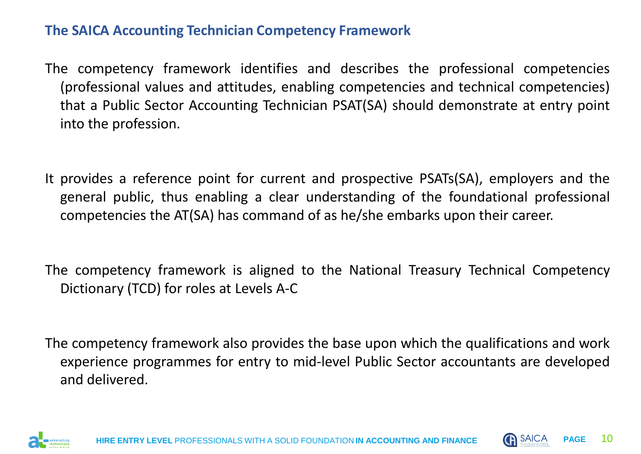### **The SAICA Accounting Technician Competency Framework**

- The competency framework identifies and describes the professional competencies (professional values and attitudes, enabling competencies and technical competencies) that a Public Sector Accounting Technician PSAT(SA) should demonstrate at entry point into the profession.
- It provides a reference point for current and prospective PSATs(SA), employers and the general public, thus enabling a clear understanding of the foundational professional competencies the AT(SA) has command of as he/she embarks upon their career.
- The competency framework is aligned to the National Treasury Technical Competency Dictionary (TCD) for roles at Levels A-C
- The competency framework also provides the base upon which the qualifications and work experience programmes for entry to mid-level Public Sector accountants are developed and delivered.



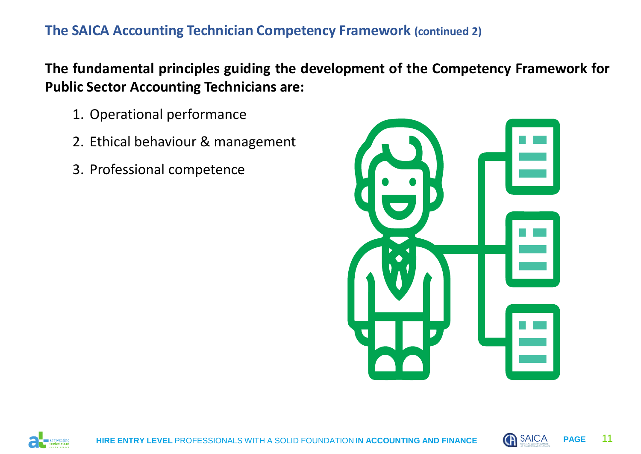### **The SAICA Accounting Technician Competency Framework (continued 2)**

**The fundamental principles guiding the development of the Competency Framework for Public Sector Accounting Technicians are:**

- 1. Operational performance
- 2. Ethical behaviour & management
- 3. Professional competence





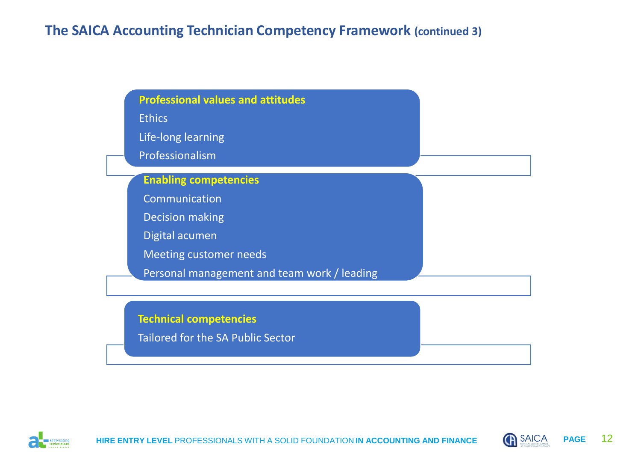### **The SAICA Accounting Technician Competency Framework (continued 3)**

| <b>Professional values and attitudes</b><br><b>Ethics</b><br>Life-long learning<br>Professionalism                                                                        |  |
|---------------------------------------------------------------------------------------------------------------------------------------------------------------------------|--|
| <b>Enabling competencies</b><br>Communication<br><b>Decision making</b><br>Digital acumen<br><b>Meeting customer needs</b><br>Personal management and team work / leading |  |
| <b>Technical competencies</b><br>Tailored for the SA Public Sector                                                                                                        |  |



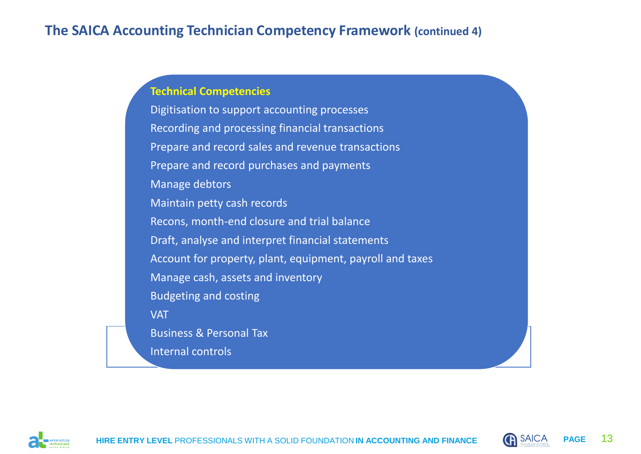### **The SAICA Accounting Technician Competency Framework (continued 4)**

#### **Technical Competencies**

Digitisation to support accounting processes Recording and processing financial transactions Prepare and record sales and revenue transactions Prepare and record purchases and payments Manage debtors Maintain petty cash records Recons, month-end closure and trial balance Draft, analyse and interpret financial statements Account for property, plant, equipment, payroll and taxes Manage cash, assets and inventory Budgeting and costing **VAT** Business & Personal Tax Internal controls



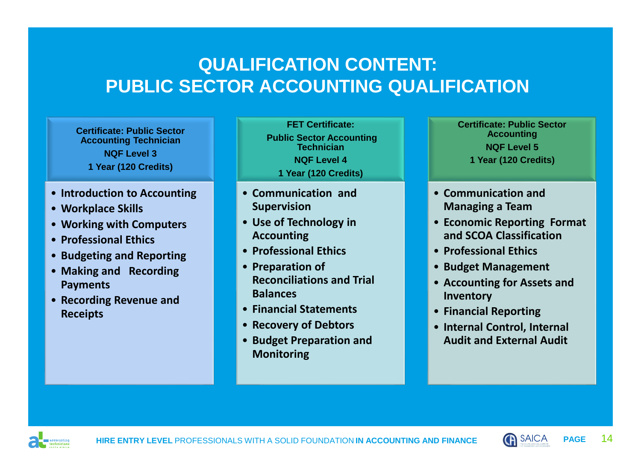# **QUALIFICATION CONTENT: PUBLIC SECTOR ACCOUNTING QUALIFICATION**

**Certificate: Public Sector Accounting Technician NQF Level 3 1 Year (120 Credits)**

- **Introduction to Accounting**
- **Workplace Skills**
- **Working with Computers**
- **Professional Ethics**
- **Budgeting and Reporting**
- **Making and Recording Payments**
- **Recording Revenue and Receipts**

**FET Certificate: Public Sector Accounting Technician NQF Level 4 1 Year (120 Credits)**

- **Communication and Supervision**
- **Use of Technology in Accounting**
- **Professional Ethics**
- **Preparation of Reconciliations and Trial Balances**
- **Financial Statements**
- **Recovery of Debtors**
- **Budget Preparation and Monitoring**

**Certificate: Public Sector Accounting NQF Level 5 1 Year (120 Credits)**

- **Communication and Managing a Team**
- **Economic Reporting Format and SCOA Classification**
- **Professional Ethics**
- **Budget Management**
- **Accounting for Assets and Inventory**
- **Financial Reporting**
- **Internal Control, Internal Audit and External Audit**



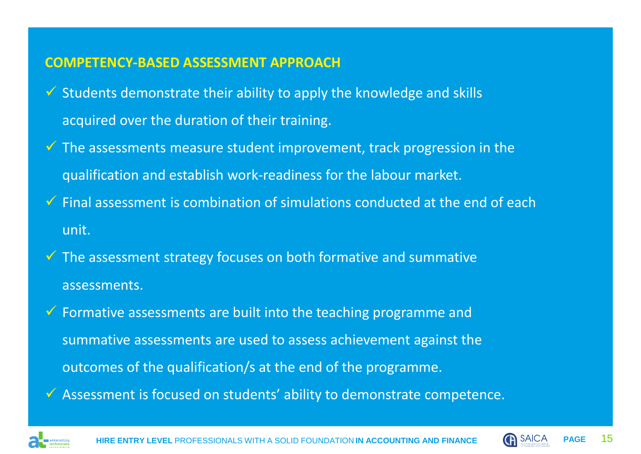### **COMPETENCY-BASED ASSESSMENT APPROACH**

- $\checkmark$  Students demonstrate their ability to apply the knowledge and skills acquired over the duration of their training.
- $\checkmark$  The assessments measure student improvement, track progression in the qualification and establish work-readiness for the labour market.
- $\checkmark$  Final assessment is combination of simulations conducted at the end of each unit.
- ✓ The assessment strategy focuses on both formative and summative assessments.
- $\checkmark$  Formative assessments are built into the teaching programme and summative assessments are used to assess achievement against the outcomes of the qualification/s at the end of the programme. ✓ Assessment is focused on students' ability to demonstrate competence.



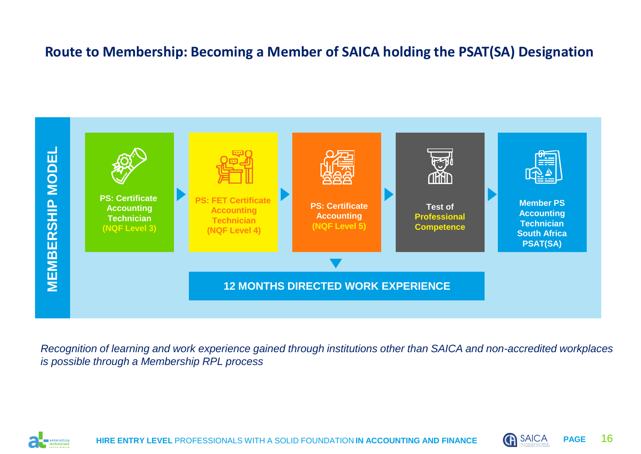### **Route to Membership: Becoming a Member of SAICA holding the PSAT(SA) Designation**



*Recognition of learning and work experience gained through institutions other than SAICA and non-accredited workplaces is possible through a Membership RPL process*



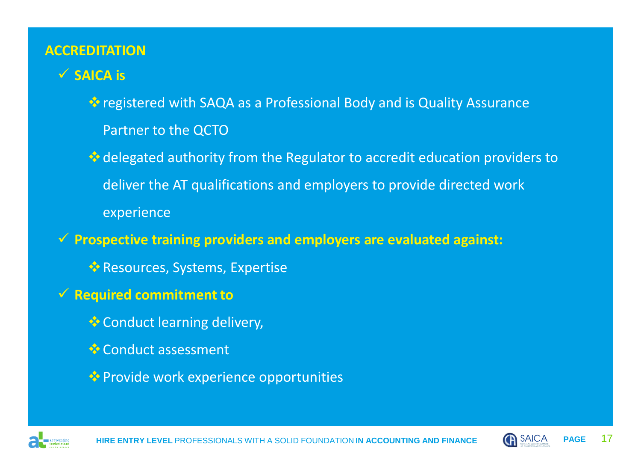### **ACCREDITATION**

# ✓ **SAICA is**

❖registered with SAQA as a Professional Body and is Quality Assurance Partner to the QCTO

❖delegated authority from the Regulator to accredit education providers to deliver the AT qualifications and employers to provide directed work experience

✓ **Prospective training providers and employers are evaluated against:**

❖Resources, Systems, Expertise

- ✓ **Required commitment to** 
	- ❖Conduct learning delivery,
	- ❖Conduct assessment
	- ❖Provide work experience opportunities



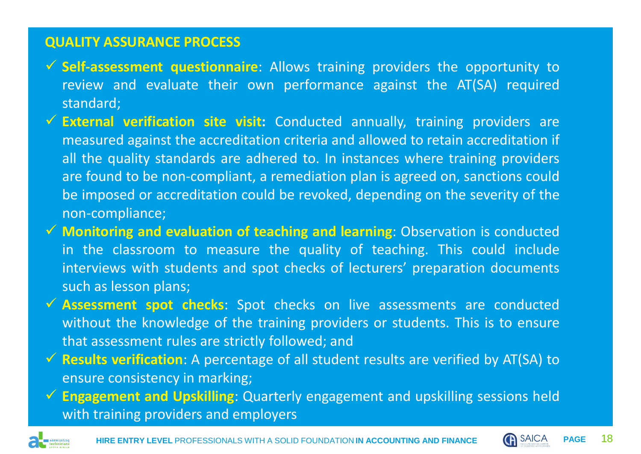### **QUALITY ASSURANCE PROCESS**

- ✓ **Self-assessment questionnaire**: Allows training providers the opportunity to review and evaluate their own performance against the AT(SA) required standard;
- ✓ **External verification site visit:** Conducted annually, training providers are measured against the accreditation criteria and allowed to retain accreditation if all the quality standards are adhered to. In instances where training providers are found to be non-compliant, a remediation plan is agreed on, sanctions could be imposed or accreditation could be revoked, depending on the severity of the non-compliance;
- ✓ **Monitoring and evaluation of teaching and learning**: Observation is conducted in the classroom to measure the quality of teaching. This could include interviews with students and spot checks of lecturers' preparation documents such as lesson plans;
- ✓ **Assessment spot checks**: Spot checks on live assessments are conducted without the knowledge of the training providers or students. This is to ensure that assessment rules are strictly followed; and
- ✓ **Results verification**: A percentage of all student results are verified by AT(SA) to ensure consistency in marking;
- ✓ **Engagement and Upskilling**: Quarterly engagement and upskilling sessions held with training providers and employers



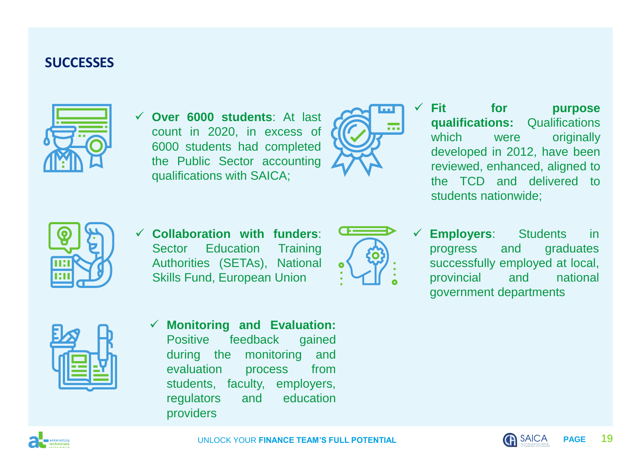### **SUCCESSES**



✓ **Over 6000 students**: At last count in 2020, in excess of 6000 students had completed the Public Sector accounting qualifications with SAICA;



✓ **Fit for purpose qualifications:** Qualifications which were originally developed in 2012, have been reviewed, enhanced, aligned to the TCD and delivered to students nationwide;



✓ **Collaboration with funders**: Sector Education Training Authorities (SETAs), National Skills Fund, European Union



**Employers:** Students in progress and graduates successfully employed at local, provincial and national government departments



✓ **Monitoring and Evaluation:** Positive feedback gained during the monitoring and evaluation process from students, faculty, employers, regulators and education providers



UNI OCK YOUR **FINANCE TEAM'S FULL POTENTIAL PAGE PAGE** 19

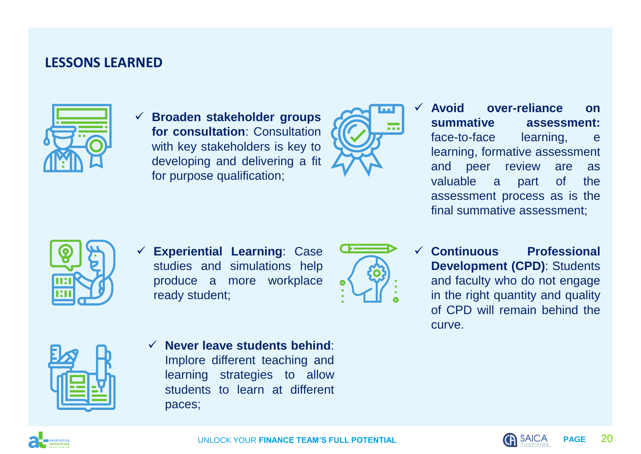### **LESSONS LEARNED**



✓ **Broaden stakeholder groups for consultation**: Consultation with key stakeholders is key to developing and delivering a fit for purpose qualification;



✓ **Avoid over-reliance on summative assessment:** face-to-face learning, e learning, formative assessment and peer review are as valuable a part of the assessment process as is the final summative assessment;



✓ **Experiential Learning**: Case studies and simulations help produce a more workplace ready student;



✓ **Continuous Professional Development (CPD)**: Students and faculty who do not engage in the right quantity and quality of CPD will remain behind the curve.



✓ **Never leave students behind**: Implore different teaching and learning strategies to allow students to learn at different paces;